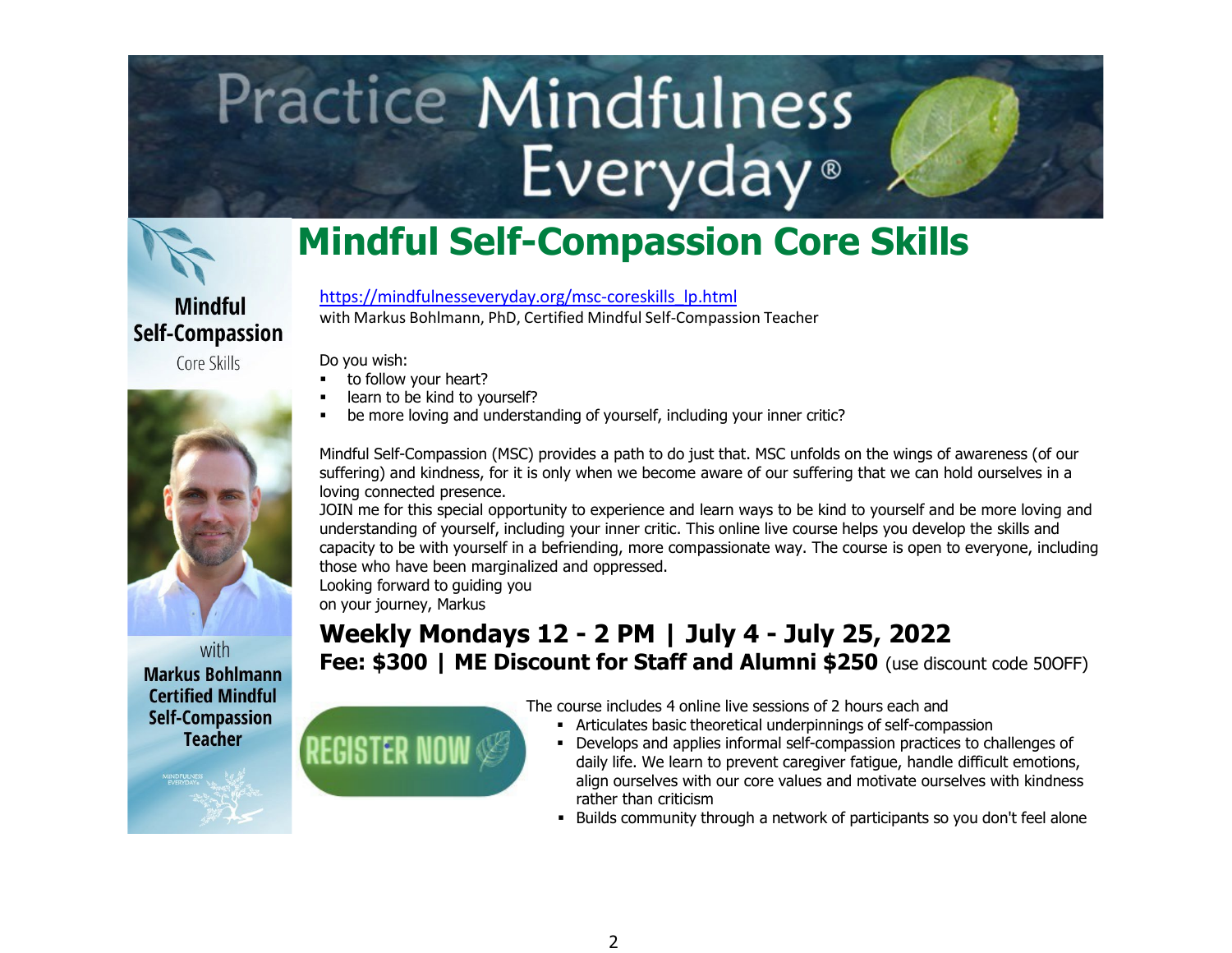# **Practice Mindfulness** Everyday<sup>®</sup>



### **Mindful Self-Compassion Core Skills**

**Mindful Self-Compassion** 

Core Skills



with **Markus Bohlmann Certified Mindful Self-Compassion Teacher** 

[https://mindfulnesseveryday.org/msc-coreskills\\_lp.html](https://mindfulnesseveryday.org/msc-coreskills_lp.html) with Markus Bohlmann, PhD, Certified Mindful Self-Compassion Teacher

Do you wish:

- to follow your heart?
- learn to be kind to yourself?
- be more loving and understanding of yourself, including your inner critic?

Mindful Self-Compassion (MSC) provides a path to do just that. MSC unfolds on the wings of awareness (of our suffering) and kindness, for it is only when we become aware of our suffering that we can hold ourselves in a loving connected presence.

JOIN me for this special opportunity to experience and learn ways to be kind to yourself and be more loving and understanding of yourself, including your inner critic. This online live course helps you develop the skills and capacity to be with yourself in a befriending, more compassionate way. The course is open to everyone, including those who have been marginalized and oppressed.

Looking forward to guiding you on your journey, Markus

#### **Weekly Mondays 12 - 2 PM | July 4 - July 25, 2022 Fee: \$300 | ME Discount for Staff and Alumni \$250** (use discount code 500FF)

**REGISTER NOW** 

[T](https://mindfulnesseveryday.org/machform/view.php?id=146791)he course includes 4 online live sessions of 2 hours each and

- Articulates basic theoretical underpinnings of self-compassion
- Develops and applies informal self-compassion practices to challenges of daily life. We learn to prevent caregiver fatigue, handle difficult emotions, align ourselves with our core values and motivate ourselves with kindness rather than criticism
- Builds community through a network of participants so you don't feel alone